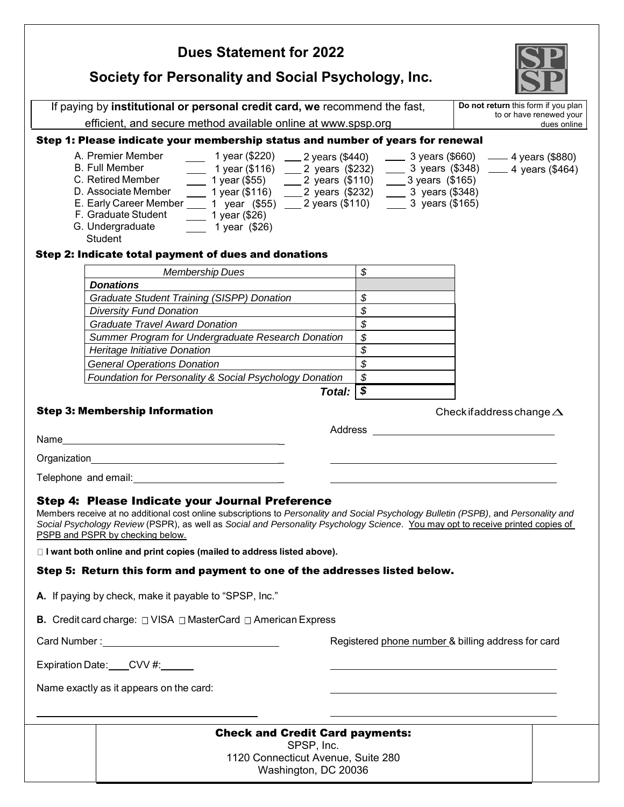| <b>Dues Statement for 2022</b>                                                                                                                                                                                                        |                                |                                        |  |  |
|---------------------------------------------------------------------------------------------------------------------------------------------------------------------------------------------------------------------------------------|--------------------------------|----------------------------------------|--|--|
| Society for Personality and Social Psychology, Inc.                                                                                                                                                                                   |                                |                                        |  |  |
| If paying by institutional or personal credit card, we recommend the fast,                                                                                                                                                            |                                | Do not return this form if you plan    |  |  |
| efficient, and secure method available online at www.spsp.org                                                                                                                                                                         |                                | to or have renewed your<br>dues online |  |  |
| Step 1: Please indicate your membership status and number of years for renewal                                                                                                                                                        |                                |                                        |  |  |
| A. Premier Member<br>1 year (\$220) ____ 2 years (\$440) _____ 3 years (\$660) _____ 4 years (\$880)                                                                                                                                  |                                |                                        |  |  |
| $\frac{1}{2}$ 1 year (\$116) $\frac{1}{2}$ years (\$232) $\frac{1}{2}$ 3 years (\$348) $\frac{1}{2}$ 4 years (\$464) $\frac{1}{2}$ 1 year (\$55) $\frac{1}{2}$ 2 years (\$110) $\frac{1}{2}$ 3 years (\$165)<br><b>B. Full Member</b> |                                |                                        |  |  |
| C. Retired Member                                                                                                                                                                                                                     |                                |                                        |  |  |
| D. Associate Member _______ 1 year (\$116) _____ 2 years (\$232) ______ 3 years (\$348)<br>E. Early Career Member _____ 1 year (\$55) ____ 2 years (\$110) ______ 3 years (\$165)                                                     |                                |                                        |  |  |
| F. Graduate Student<br>$\frac{1}{2}$ 1 year (\$26)                                                                                                                                                                                    |                                |                                        |  |  |
| G. Undergraduate<br>$\frac{1}{2}$ 1 year (\$26)<br>Student                                                                                                                                                                            |                                |                                        |  |  |
| Step 2: Indicate total payment of dues and donations                                                                                                                                                                                  |                                |                                        |  |  |
| <b>Membership Dues</b>                                                                                                                                                                                                                | $\mathcal{S}$                  |                                        |  |  |
| <b>Donations</b>                                                                                                                                                                                                                      |                                |                                        |  |  |
| <b>Graduate Student Training (SISPP) Donation</b>                                                                                                                                                                                     | \$                             |                                        |  |  |
| <b>Diversity Fund Donation</b>                                                                                                                                                                                                        | \$                             |                                        |  |  |
| <b>Graduate Travel Award Donation</b>                                                                                                                                                                                                 | $\mathcal{L}$                  |                                        |  |  |
| Summer Program for Undergraduate Research Donation                                                                                                                                                                                    | \$<br>$\overline{\mathcal{S}}$ |                                        |  |  |
| Heritage Initiative Donation<br><b>General Operations Donation</b>                                                                                                                                                                    | $\overline{\mathcal{S}}$       |                                        |  |  |
| Foundation for Personality & Social Psychology Donation                                                                                                                                                                               | $\boldsymbol{\mathcal{S}}$     |                                        |  |  |
| Total:                                                                                                                                                                                                                                | $\sqrt{s}$                     |                                        |  |  |
| <b>Step 3: Membership Information</b>                                                                                                                                                                                                 |                                |                                        |  |  |
|                                                                                                                                                                                                                                       |                                | Check if address change $\Delta$       |  |  |
|                                                                                                                                                                                                                                       |                                |                                        |  |  |
|                                                                                                                                                                                                                                       |                                |                                        |  |  |
|                                                                                                                                                                                                                                       |                                |                                        |  |  |
| Telephone and email: Note and the state of the state of the state of the state of the state of the state of the state of the state of the state of the state of the state of the state of the state of the state of the state         |                                |                                        |  |  |
| Step 4: Please Indicate your Journal Preference                                                                                                                                                                                       |                                |                                        |  |  |
| Members receive at no additional cost online subscriptions to Personality and Social Psychology Bulletin (PSPB), and Personality and                                                                                                  |                                |                                        |  |  |
| Social Psychology Review (PSPR), as well as Social and Personality Psychology Science. You may opt to receive printed copies of<br>PSPB and PSPR by checking below.                                                                   |                                |                                        |  |  |
| □ I want both online and print copies (mailed to address listed above).                                                                                                                                                               |                                |                                        |  |  |
|                                                                                                                                                                                                                                       |                                |                                        |  |  |
| Step 5: Return this form and payment to one of the addresses listed below.                                                                                                                                                            |                                |                                        |  |  |
| A. If paying by check, make it payable to "SPSP, Inc."                                                                                                                                                                                |                                |                                        |  |  |
| <b>B.</b> Credit card charge: $\Box$ VISA $\Box$ MasterCard $\Box$ American Express                                                                                                                                                   |                                |                                        |  |  |
| Registered phone number & billing address for card                                                                                                                                                                                    |                                |                                        |  |  |
| Expiration Date: CVV #:                                                                                                                                                                                                               |                                |                                        |  |  |
| Name exactly as it appears on the card:                                                                                                                                                                                               |                                |                                        |  |  |
|                                                                                                                                                                                                                                       |                                |                                        |  |  |
| <b>Check and Credit Card payments:</b>                                                                                                                                                                                                |                                |                                        |  |  |
| SPSP, Inc.<br>1120 Connecticut Avenue, Suite 280                                                                                                                                                                                      |                                |                                        |  |  |
| Washington, DC 20036                                                                                                                                                                                                                  |                                |                                        |  |  |